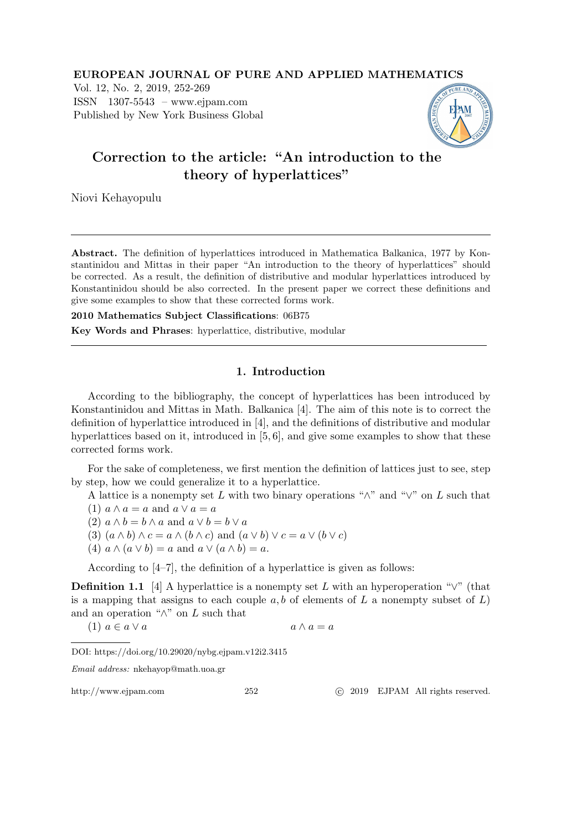EUROPEAN JOURNAL OF PURE AND APPLIED MATHEMATICS Vol. 12, No. 2, 2019, 252-269 ISSN 1307-5543 – www.ejpam.com Published by New York Business Global



Niovi Kehayopulu

Abstract. The definition of hyperlattices introduced in Mathematica Balkanica, 1977 by Konstantinidou and Mittas in their paper "An introduction to the theory of hyperlattices" should be corrected. As a result, the definition of distributive and modular hyperlattices introduced by Konstantinidou should be also corrected. In the present paper we correct these definitions and give some examples to show that these corrected forms work.

2010 Mathematics Subject Classifications: 06B75

Key Words and Phrases: hyperlattice, distributive, modular

# 1. Introduction

According to the bibliography, the concept of hyperlattices has been introduced by Konstantinidou and Mittas in Math. Balkanica [4]. The aim of this note is to correct the definition of hyperlattice introduced in [4], and the definitions of distributive and modular hyperlattices based on it, introduced in [5, 6], and give some examples to show that these corrected forms work.

For the sake of completeness, we first mention the definition of lattices just to see, step by step, how we could generalize it to a hyperlattice.

A lattice is a nonempty set L with two binary operations " $\wedge$ " and " $\vee$ " on L such that

- (1)  $a \wedge a = a$  and  $a \vee a = a$
- (2)  $a \wedge b = b \wedge a$  and  $a \vee b = b \vee a$
- (3)  $(a \wedge b) \wedge c = a \wedge (b \wedge c)$  and  $(a \vee b) \vee c = a \vee (b \vee c)$
- (4)  $a \wedge (a \vee b) = a$  and  $a \vee (a \wedge b) = a$ .

According to [4–7], the definition of a hyperlattice is given as follows:

**Definition 1.1** [4] A hyperlattice is a nonempty set L with an hyperoperation " $\vee$ " (that is a mapping that assigns to each couple  $a, b$  of elements of  $L$  a nonempty subset of  $L$ ) and an operation " $\wedge$ " on L such that

$$
(1) \ a \in a \lor a \qquad \qquad a \land a = a
$$

DOI: https://doi.org/10.29020/nybg.ejpam.v12i2.3415

Email address: nkehayop@math.uoa.gr

http://www.ejpam.com 252 
c 2019 EJPAM All rights reserved.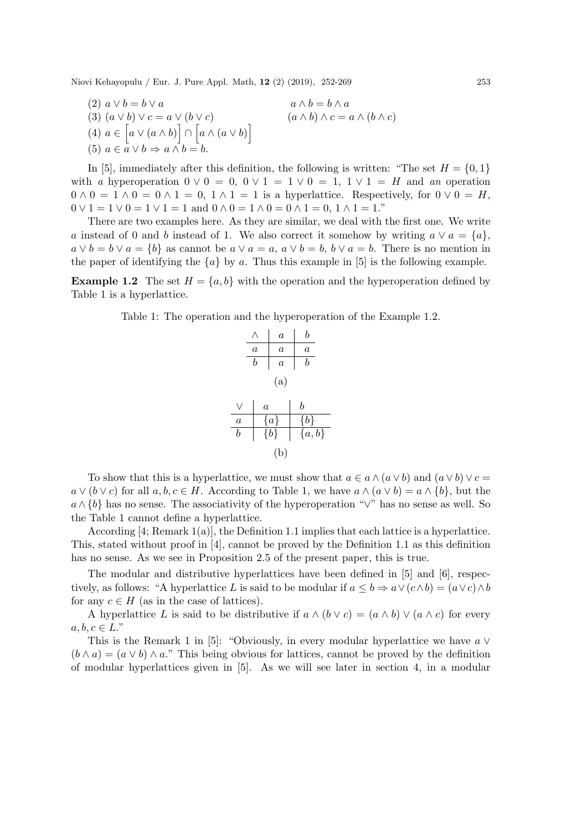(2)  $a \vee b = b \vee a$   $a \wedge b = b \wedge a$ (3)  $(a \vee b) \vee c = a \vee (b \vee c)$   $(a \wedge b) \wedge c = a \wedge (b \wedge c)$ (4)  $a \in [a \vee (a \wedge b)] \cap [a \wedge (a \vee b)]$ (5)  $a \in a \lor b \Rightarrow a \land b = b$ .

In [5], immediately after this definition, the following is written: "The set  $H = \{0, 1\}$ with *a* hyperoperation  $0 \vee 0 = 0$ ,  $0 \vee 1 = 1 \vee 0 = 1$ ,  $1 \vee 1 = H$  and *an* operation  $0 \wedge 0 = 1 \wedge 0 = 0 \wedge 1 = 0$ ,  $1 \wedge 1 = 1$  is a hyperlattice. Respectively, for  $0 \vee 0 = H$ ,  $0 \vee 1 = 1 \vee 0 = 1 \vee 1 = 1$  and  $0 \wedge 0 = 1 \wedge 0 = 0 \wedge 1 = 0, 1 \wedge 1 = 1$ ."

There are two examples here. As they are similar, we deal with the first one. We write a instead of 0 and b instead of 1. We also correct it somehow by writing  $a \vee a = \{a\}$ ,  $a \vee b = b \vee a = \{b\}$  as cannot be  $a \vee a = a$ ,  $a \vee b = b$ ,  $b \vee a = b$ . There is no mention in the paper of identifying the  $\{a\}$  by a. Thus this example in [5] is the following example.

**Example 1.2** The set  $H = \{a, b\}$  with the operation and the hyperoperation defined by Table 1 is a hyperlattice.

Table 1: The operation and the hyperoperation of the Example 1.2.

| $\wedge$ | $a$     | $b$       |
|----------|---------|-----------|
| $a$      | $a$     | $a$       |
| $b$      | $a$     | $b$       |
| (a)      |         |           |
| $\vee$   | $a$     | $b$       |
| $a$      | $\{a\}$ | $\{b\}$   |
| $b$      | $\{b\}$ | $\{a,b\}$ |
| $b$      | $\{b\}$ | $\{a,b\}$ |
| (b)      |         |           |

To show that this is a hyperlattice, we must show that  $a \in a \wedge (a \vee b)$  and  $(a \vee b) \vee c =$  $a \vee (b \vee c)$  for all  $a, b, c \in H$ . According to Table 1, we have  $a \wedge (a \vee b) = a \wedge \{b\}$ , but the  $a \wedge \{b\}$  has no sense. The associativity of the hyperoperation " $\vee$ " has no sense as well. So the Table 1 cannot define a hyperlattice.

According  $[4;$  Remark  $1(a)$ , the Definition 1.1 implies that each lattice is a hyperlattice. This, stated without proof in [4], cannot be proved by the Definition 1.1 as this definition has no sense. As we see in Proposition 2.5 of the present paper, this is true.

The modular and distributive hyperlattices have been defined in [5] and [6], respectively, as follows: "A hyperlattice L is said to be modular if  $a \leq b \Rightarrow a \vee (c \wedge b) = (a \vee c) \wedge b$ for any  $c \in H$  (as in the case of lattices).

A hyperlattice L is said to be distributive if  $a \wedge (b \vee c) = (a \wedge b) \vee (a \wedge c)$  for every  $a, b, c \in L$ ."

This is the Remark 1 in [5]: "Obviously, in every modular hyperlattice we have  $a \vee$  $(b \wedge a) = (a \vee b) \wedge a$ ." This being obvious for lattices, cannot be proved by the definition of modular hyperlattices given in [5]. As we will see later in section 4, in a modular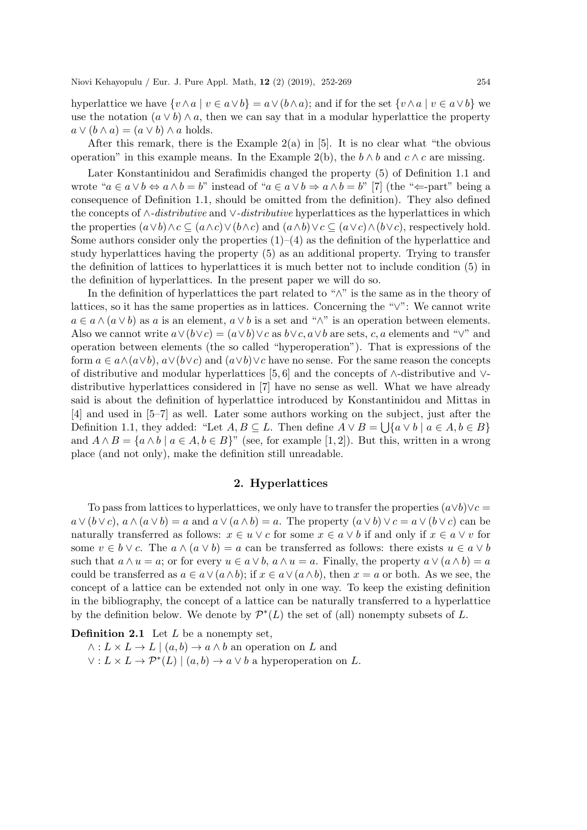hyperlattice we have  $\{v \wedge a \mid v \in a \vee b\} = a \vee (b \wedge a)$ ; and if for the set  $\{v \wedge a \mid v \in a \vee b\}$  we use the notation  $(a \vee b) \wedge a$ , then we can say that in a modular hyperlattice the property  $a \vee (b \wedge a) = (a \vee b) \wedge a$  holds.

After this remark, there is the Example  $2(a)$  in [5]. It is no clear what "the obvious operation" in this example means. In the Example 2(b), the  $b \wedge b$  and  $c \wedge c$  are missing.

Later Konstantinidou and Serafimidis changed the property (5) of Definition 1.1 and wrote " $a \in a \vee b \Leftrightarrow a \wedge b = b$ " instead of " $a \in a \vee b \Rightarrow a \wedge b = b$ " [7] (the " $\Leftarrow$ -part" being a consequence of Definition 1.1, should be omitted from the definition). They also defined the concepts of ∧*-distributive* and ∨*-distributive* hyperlattices as the hyperlattices in which the properties  $(a \vee b) \wedge c \subseteq (a \wedge c) \vee (b \wedge c)$  and  $(a \wedge b) \vee c \subseteq (a \vee c) \wedge (b \vee c)$ , respectively hold. Some authors consider only the properties  $(1)$ – $(4)$  as the definition of the hyperlattice and study hyperlattices having the property (5) as an additional property. Trying to transfer the definition of lattices to hyperlattices it is much better not to include condition (5) in the definition of hyperlattices. In the present paper we will do so.

In the definition of hyperlattices the part related to "∧" is the same as in the theory of lattices, so it has the same properties as in lattices. Concerning the "∨": We cannot write  $a \in a \wedge (a \vee b)$  as a is an element,  $a \vee b$  is a set and " $\wedge$ " is an operation between elements. Also we cannot write  $a \vee (b \vee c) = (a \vee b) \vee c$  as  $b \vee c$ ,  $a \vee b$  are sets, c, a elements and " $\vee$ " and operation between elements (the so called "hyperoperation"). That is expressions of the form  $a \in a \wedge (a \vee b)$ ,  $a \vee (b \vee c)$  and  $(a \vee b) \vee c$  have no sense. For the same reason the concepts of distributive and modular hyperlattices [5, 6] and the concepts of ∧-distributive and ∨ distributive hyperlattices considered in [7] have no sense as well. What we have already said is about the definition of hyperlattice introduced by Konstantinidou and Mittas in [4] and used in [5–7] as well. Later some authors working on the subject, just after the Definition 1.1, they added: "Let  $A, B \subseteq L$ . Then define  $A \vee B = \bigcup \{a \vee b \mid a \in A, b \in B\}$ and  $A \wedge B = \{a \wedge b \mid a \in A, b \in B\}$ " (see, for example [1, 2]). But this, written in a wrong place (and not only), make the definition still unreadable.

### 2. Hyperlattices

To pass from lattices to hyperlattices, we only have to transfer the properties  $(a \vee b) \vee c =$  $a \vee (b \vee c)$ ,  $a \wedge (a \vee b) = a$  and  $a \vee (a \wedge b) = a$ . The property  $(a \vee b) \vee c = a \vee (b \vee c)$  can be naturally transferred as follows:  $x \in u \vee c$  for some  $x \in a \vee b$  if and only if  $x \in a \vee v$  for some  $v \in b \vee c$ . The  $a \wedge (a \vee b) = a$  can be transferred as follows: there exists  $u \in a \vee b$ such that  $a \wedge u = a$ ; or for every  $u \in a \vee b$ ,  $a \wedge u = a$ . Finally, the property  $a \vee (a \wedge b) = a$ could be transferred as  $a \in a \vee (a \wedge b)$ ; if  $x \in a \vee (a \wedge b)$ , then  $x = a$  or both. As we see, the concept of a lattice can be extended not only in one way. To keep the existing definition in the bibliography, the concept of a lattice can be naturally transferred to a hyperlattice by the definition below. We denote by  $\mathcal{P}^*(L)$  the set of (all) nonempty subsets of L.

**Definition 2.1** Let  $L$  be a nonempty set.

 $\wedge : L \times L \to L \mid (a, b) \to a \wedge b$  an operation on L and  $\vee: L \times L \to \mathcal{P}^*(L) \mid (a, b) \to a \vee b$  a hyperoperation on L.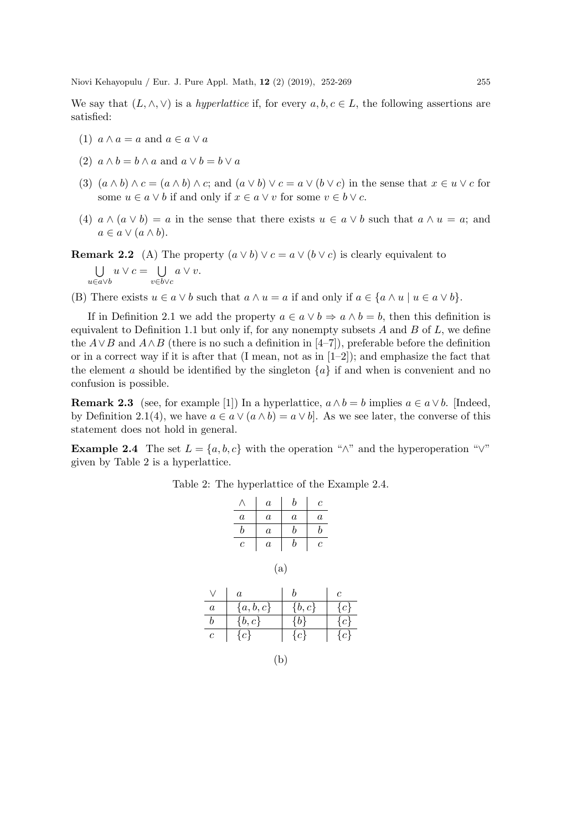We say that  $(L, \wedge, \vee)$  is a *hyperlattice* if, for every  $a, b, c \in L$ , the following assertions are satisfied:

- (1)  $a \wedge a = a$  and  $a \in a \vee a$
- (2)  $a \wedge b = b \wedge a$  and  $a \vee b = b \vee a$
- (3)  $(a \wedge b) \wedge c = (a \wedge b) \wedge c$ ; and  $(a \vee b) \vee c = a \vee (b \vee c)$  in the sense that  $x \in u \vee c$  for some  $u \in a \vee b$  if and only if  $x \in a \vee v$  for some  $v \in b \vee c$ .
- (4)  $a \wedge (a \vee b) = a$  in the sense that there exists  $u \in a \vee b$  such that  $a \wedge u = a$ ; and  $a \in a \vee (a \wedge b).$

**Remark 2.2** (A) The property  $(a \vee b) \vee c = a \vee (b \vee c)$  is clearly equivalent to

 $\bigcup u \vee c = \bigcup a \vee v.$ u∈a∨b v∈b∨c

(B) There exists  $u \in a \vee b$  such that  $a \wedge u = a$  if and only if  $a \in \{a \wedge u \mid u \in a \vee b\}.$ 

If in Definition 2.1 we add the property  $a \in a \vee b \Rightarrow a \wedge b = b$ , then this definition is equivalent to Definition 1.1 but only if, for any nonempty subsets  $A$  and  $B$  of  $L$ , we define the  $A \vee B$  and  $A \wedge B$  (there is no such a definition in [4–7]), preferable before the definition or in a correct way if it is after that (I mean, not as in  $[1-2]$ ); and emphasize the fact that the element a should be identified by the singleton  $\{a\}$  if and when is convenient and no confusion is possible.

**Remark 2.3** (see, for example [1]) In a hyperlattice,  $a \wedge b = b$  implies  $a \in a \vee b$ . [Indeed, by Definition 2.1(4), we have  $a \in a \vee (a \wedge b) = a \vee b$ . As we see later, the converse of this statement does not hold in general.

**Example 2.4** The set  $L = \{a, b, c\}$  with the operation " $\wedge$ " and the hyperoperation " $\vee$ " given by Table 2 is a hyperlattice.

Table 2: The hyperlattice of the Example 2.4.

|                  |                    | $\boldsymbol{a}$ | b                | с                |                |
|------------------|--------------------|------------------|------------------|------------------|----------------|
|                  | $\boldsymbol{a}$   | $\boldsymbol{a}$ | $\boldsymbol{a}$ | $\boldsymbol{a}$ |                |
|                  | $\boldsymbol{b}$   | $\boldsymbol{a}$ | b                | b                |                |
|                  | $\boldsymbol{c}$   | $\boldsymbol{a}$ | b                | $\overline{c}$   |                |
| $\vee$           | $\boldsymbol{a}$   | (a)              | $\boldsymbol{b}$ |                  | $\overline{c}$ |
| $\boldsymbol{a}$ | $\{a,b,c\}$        |                  | $\{b,c\}$        |                  | $\{c\}$        |
| $\boldsymbol{b}$ | $\{b,c\}$          |                  | $\{b\}$          |                  | $\{c\}$        |
| $\boldsymbol{c}$ | $\overline{\{c\}}$ |                  | ${c}$            |                  | $\{c\}$        |
|                  |                    |                  |                  |                  |                |

(b)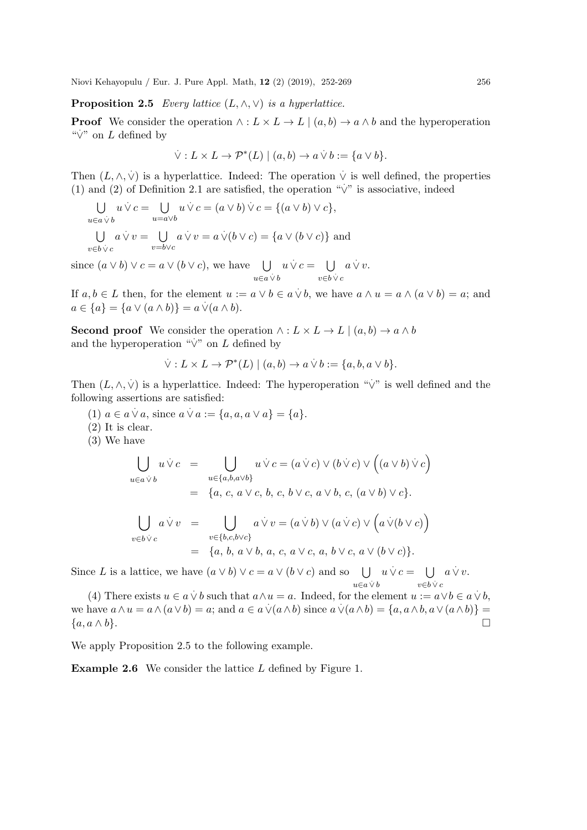Proposition 2.5 *Every lattice* (L, ∧, ∨) *is a hyperlattice.*

**Proof** We consider the operation  $\wedge : L \times L \to L \mid (a, b) \to a \wedge b$  and the hyperoperation  $\sqrt[n]{v}$  on L defined by

$$
\dot{\vee}: L \times L \to \mathcal{P}^*(L) \mid (a, b) \to a \dot{\vee} b := \{a \vee b\}.
$$

Then  $(L, \wedge, \vee)$  is a hyperlattice. Indeed: The operation  $\vee$  is well defined, the properties (1) and (2) of Definition 2.1 are satisfied, the operation " $\vee$ " is associative, indeed (1) and (2) of Definition 2.1 are satisfied, the operation " $\vee$ " is associative, indeed

$$
\bigcup_{u \in a \dot{\vee} b} u \dot{\vee} c = \bigcup_{u = a \vee b} u \dot{\vee} c = (a \vee b) \dot{\vee} c = \{(a \vee b) \vee c\},\
$$
  

$$
\bigcup_{v \in b \dot{\vee} c} a \dot{\vee} v = \bigcup_{v = b \vee c} a \dot{\vee} v = a \dot{\vee} (b \vee c) = \{a \vee (b \vee c)\}\
$$
and

since  $(a \vee b) \vee c = a \vee (b \vee c)$ , we have  $\bigcup$  $u \in a \vee b$  $u \dot{\vee} c = \bigcup$  $v \in b \vee c$  $a \dot{\vee} v.$ 

If  $a, b \in L$  then, for the element  $u := a \vee b \in a \vee b$ , we have  $a \wedge u = a \wedge (a \vee b) = a$ ; and  $a \in \{a\} = \{a \vee (a \wedge b)\} = a \vee (a \wedge b).$ 

**Second proof** We consider the operation  $\wedge : L \times L \to L \mid (a, b) \to a \wedge b$ and the hyperoperation " $\vee$ " on L defined by

$$
\dot{\vee}: L \times L \to \mathcal{P}^*(L) \mid (a, b) \to a \dot{\vee} b := \{a, b, a \vee b\}.
$$

Then  $(L, \wedge, \vee)$  is a hyperlattice. Indeed: The hyperoperation " $\vee$ " is well defined and the following assertions are satisfied:

- (1)  $a \in a \lor a$ , since  $a \lor a := \{a, a, a \lor a\} = \{a\}.$
- (2) It is clear.
- (3) We have

$$
\bigcup_{u \in a \dot{\vee} b} u \dot{\vee} c = \bigcup_{u \in \{a, b, a \vee b\}} u \dot{\vee} c = (a \dot{\vee} c) \vee (b \dot{\vee} c) \vee ((a \vee b) \dot{\vee} c)
$$
  
\n
$$
= \{a, c, a \vee c, b, c, b \vee c, a \vee b, c, (a \vee b) \vee c\}.
$$
  
\n
$$
\bigcup_{v \in b \dot{\vee} c} a \dot{\vee} v = \bigcup_{v \in \{b, c, b \vee c\}} a \dot{\vee} v = (a \dot{\vee} b) \vee (a \dot{\vee} c) \vee (a \dot{\vee} (b \vee c))
$$
  
\n
$$
= \{a, b, a \vee b, a, c, a \vee c, a, b \vee c, a \vee (b \vee c)\}.
$$

Since L is a lattice, we have  $(a \vee b) \vee c = a \vee (b \vee c)$  and so  $\bigcup_{\alpha \in \mathcal{A}} u \vee c = \bigcup_{\alpha \in \mathcal{A}} a \vee v$ .  $u \in a \vee b$   $v \in b \vee c$ 

(4) There exists  $u \in a \vee b$  such that  $a \wedge u = a$ . Indeed, for the element  $u := a \vee b \in a \vee b$ , we have  $a \wedge u = a \wedge (a \vee b) = a$ ; and  $a \in a \vee (a \wedge b)$  since  $a \vee (a \wedge b) = \{a, a \wedge b, a \vee (a \wedge b)\} = a$  $\{a, a \wedge b\}.$ 

We apply Proposition 2.5 to the following example.

Example 2.6 We consider the lattice L defined by Figure 1.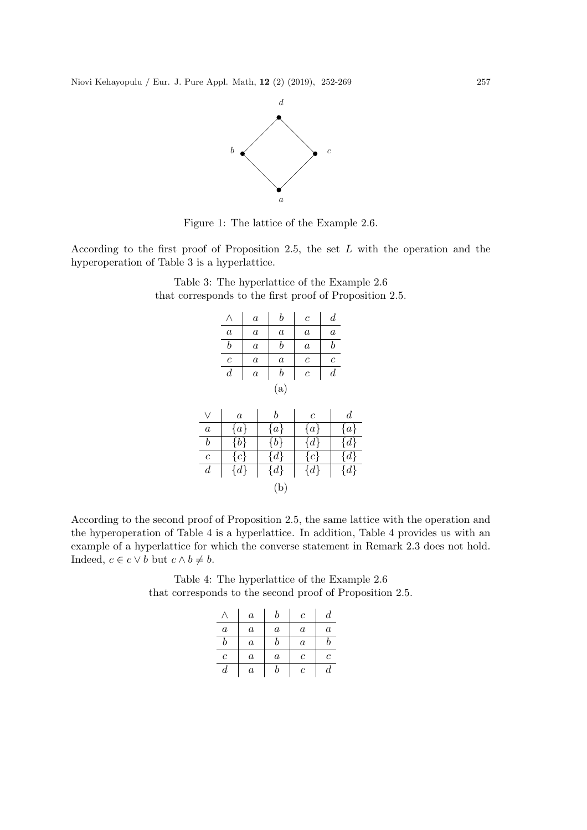

Figure 1: The lattice of the Example 2.6.

According to the first proof of Proposition 2.5, the set L with the operation and the hyperoperation of Table 3 is a hyperlattice.

> Table 3: The hyperlattice of the Example 2.6 that corresponds to the first proof of Proposition 2.5.

|                  | Λ                | $\boldsymbol{a}$ | $_{b}$           | $\overline{c}$   | $\boldsymbol{d}$ |                  |
|------------------|------------------|------------------|------------------|------------------|------------------|------------------|
|                  | $\boldsymbol{a}$ | $\boldsymbol{a}$ | $\boldsymbol{a}$ | $\boldsymbol{a}$ | $\boldsymbol{a}$ |                  |
|                  | $\boldsymbol{b}$ | $\boldsymbol{a}$ | $\boldsymbol{b}$ | $\boldsymbol{a}$ | $\boldsymbol{b}$ |                  |
|                  | $\boldsymbol{c}$ | $\boldsymbol{a}$ | $\boldsymbol{a}$ | $\boldsymbol{c}$ | $\boldsymbol{c}$ |                  |
|                  | $\boldsymbol{d}$ | $\boldsymbol{a}$ | $\it b$          | $\boldsymbol{c}$ | $\boldsymbol{d}$ |                  |
|                  |                  |                  | (a)              |                  |                  |                  |
| $\vee$           | $\it a$          |                  | b                | $\mathcal C$     |                  | $\boldsymbol{d}$ |
| $\boldsymbol{a}$ | $\{a\}$          |                  | $\{a\}$          | $\{a\}$          |                  | $\{a\}$          |
| $\boldsymbol{b}$ | $\{b\}$          |                  | $\{b\}$          | $\{d\}$          |                  | $\{d\}$          |
| $\boldsymbol{c}$ | $\{c\}$          |                  | $\{d\}$          | $\{c\}$          |                  | $\{d\}$          |
| $\boldsymbol{d}$ | ${d}$            |                  | $\{d\}$          | $\{d\}$          |                  | $\{d\}$          |
|                  |                  |                  | (b)              |                  |                  |                  |

According to the second proof of Proposition 2.5, the same lattice with the operation and the hyperoperation of Table 4 is a hyperlattice. In addition, Table 4 provides us with an example of a hyperlattice for which the converse statement in Remark 2.3 does not hold. Indeed,  $c \in c \vee b$  but  $c \wedge b \neq b$ .

> Table 4: The hyperlattice of the Example 2.6 that corresponds to the second proof of Proposition 2.5.

|                  | $\boldsymbol{a}$ | h       | С                | d                |
|------------------|------------------|---------|------------------|------------------|
| $\it a$          | $\boldsymbol{a}$ | $\it a$ | $\it a$          | $\it a$          |
| h                | $\boldsymbol{a}$ | h       | $\boldsymbol{a}$ |                  |
| $\,c\,$          | $\boldsymbol{a}$ | $\it a$ | с                | C                |
| $\boldsymbol{d}$ | $\it a$          | b       | $\mathcal C$     | $\boldsymbol{d}$ |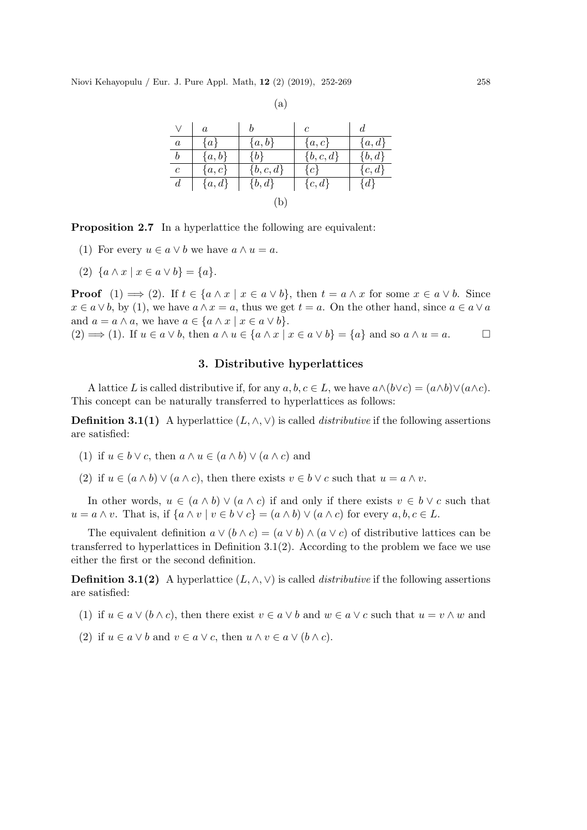|                  | $\boldsymbol{a}$ |             | $\mathfrak c$ | d          |  |  |
|------------------|------------------|-------------|---------------|------------|--|--|
| $\boldsymbol{a}$ | $\{a\}$          | $\{a,b\}$   | $\{a,c\}$     | ${a,d}$    |  |  |
| $\boldsymbol{b}$ | ${a,b}$          | $\{b\}$     | $\{b,c,d\}$   | $\{b, d\}$ |  |  |
| $\boldsymbol{c}$ | $\{a,c\}$        | $\{b,c,d\}$ | ${c}$         | ${c,d}$    |  |  |
| $\overline{d}$   | ${a,d}$          | $\{b, d\}$  | $\{c,d\}$     | $\{d\}$    |  |  |
| $\mathbf b$      |                  |             |               |            |  |  |

Proposition 2.7 In a hyperlattice the following are equivalent:

- (1) For every  $u \in a \vee b$  we have  $a \wedge u = a$ .
- (2)  $\{a \wedge x \mid x \in a \vee b\} = \{a\}.$

**Proof**  $(1) \implies (2)$ . If  $t \in \{a \wedge x \mid x \in a \vee b\}$ , then  $t = a \wedge x$  for some  $x \in a \vee b$ . Since  $x \in a \vee b$ , by (1), we have  $a \wedge x = a$ , thus we get  $t = a$ . On the other hand, since  $a \in a \vee a$ and  $a = a \wedge a$ , we have  $a \in \{a \wedge x \mid x \in a \vee b\}.$ (2)  $\implies$  (1). If  $u \in a \vee b$ , then  $a \wedge u \in \{a \wedge x \mid x \in a \vee b\} = \{a\}$  and so  $a \wedge u = a$ .

## 3. Distributive hyperlattices

A lattice L is called distributive if, for any  $a, b, c \in L$ , we have  $a \wedge (b \vee c) = (a \wedge b) \vee (a \wedge c)$ . This concept can be naturally transferred to hyperlattices as follows:

**Definition 3.1(1)** A hyperlattice  $(L, \wedge, \vee)$  is called *distributive* if the following assertions are satisfied:

- (1) if  $u \in b \vee c$ , then  $a \wedge u \in (a \wedge b) \vee (a \wedge c)$  and
- (2) if  $u \in (a \wedge b) \vee (a \wedge c)$ , then there exists  $v \in b \vee c$  such that  $u = a \wedge v$ .

In other words,  $u \in (a \wedge b) \vee (a \wedge c)$  if and only if there exists  $v \in b \vee c$  such that  $u = a \wedge v$ . That is, if  $\{a \wedge v \mid v \in b \vee c\} = (a \wedge b) \vee (a \wedge c)$  for every  $a, b, c \in L$ .

The equivalent definition  $a \vee (b \wedge c) = (a \vee b) \wedge (a \vee c)$  of distributive lattices can be transferred to hyperlattices in Definition 3.1(2). According to the problem we face we use either the first or the second definition.

**Definition 3.1(2)** A hyperlattice  $(L, \wedge, \vee)$  is called *distributive* if the following assertions are satisfied:

- (1) if  $u \in a \vee (b \wedge c)$ , then there exist  $v \in a \vee b$  and  $w \in a \vee c$  such that  $u = v \wedge w$  and
- (2) if  $u \in a \vee b$  and  $v \in a \vee c$ , then  $u \wedge v \in a \vee (b \wedge c)$ .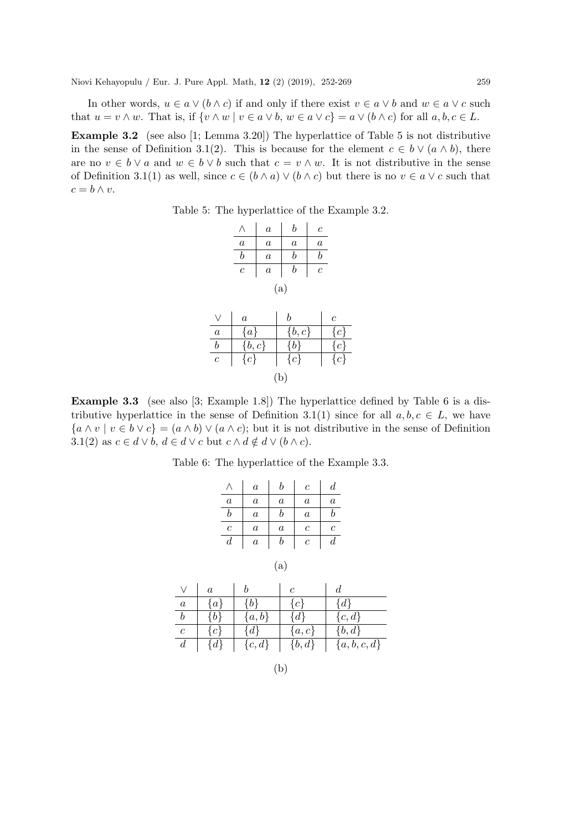In other words,  $u \in a \vee (b \wedge c)$  if and only if there exist  $v \in a \vee b$  and  $w \in a \vee c$  such that  $u = v \wedge w$ . That is, if  $\{v \wedge w \mid v \in a \vee b, w \in a \vee c\} = a \vee (b \wedge c)$  for all  $a, b, c \in L$ .

Example 3.2 (see also [1; Lemma 3.20]) The hyperlattice of Table 5 is not distributive in the sense of Definition 3.1(2). This is because for the element  $c \in b \vee (a \wedge b)$ , there are no  $v \in b \vee a$  and  $w \in b \vee b$  such that  $c = v \wedge w$ . It is not distributive in the sense of Definition 3.1(1) as well, since  $c \in (b \wedge a) \vee (b \wedge c)$  but there is no  $v \in a \vee c$  such that  $c = b \wedge v.$ 

Table 5: The hyperlattice of the Example 3.2.

|                  |                    | $\boldsymbol{a}$ | b                | $\,c\,$          |                  |
|------------------|--------------------|------------------|------------------|------------------|------------------|
|                  | $\boldsymbol{a}$   | $\boldsymbol{a}$ | $\boldsymbol{a}$ | $\boldsymbol{a}$ |                  |
|                  | $\boldsymbol{b}$   | $\boldsymbol{a}$ | $\boldsymbol{b}$ | $\boldsymbol{b}$ |                  |
|                  | $\overline{c}$     | $\boldsymbol{a}$ | b                | $\overline{c}$   |                  |
|                  |                    |                  | (a)              |                  |                  |
|                  | $\boldsymbol{a}$   |                  | $\it b$          |                  | $\boldsymbol{c}$ |
| $\boldsymbol{a}$ | $\{a\}$            |                  | $\{b,c\}$        |                  | $\{c\}$          |
| $\boldsymbol{b}$ | $\{b,c\}$          |                  | $\{b\}$          |                  | $\{c\}$          |
| $\boldsymbol{c}$ | $\overline{\{c\}}$ |                  | $\{c\}$          |                  | $\{c\}$          |
|                  |                    |                  | (b)              |                  |                  |

Example 3.3 (see also [3; Example 1.8]) The hyperlattice defined by Table 6 is a distributive hyperlattice in the sense of Definition 3.1(1) since for all  $a, b, c \in L$ , we have  ${a \wedge v \mid v \in b \vee c} = (a \wedge b) \vee (a \wedge c)$ ; but it is not distributive in the sense of Definition 3.1(2) as  $c \in d \vee b$ ,  $d \in d \vee c$  but  $c \wedge d \notin d \vee (b \wedge c)$ .

Table 6: The hyperlattice of the Example 3.3.

|                  | $\boldsymbol{a}$ | h       | с                | d                |
|------------------|------------------|---------|------------------|------------------|
| $\it a$          | $\boldsymbol{a}$ | $\it a$ | $\boldsymbol{a}$ | $\boldsymbol{a}$ |
| b                | $\boldsymbol{a}$ | h       | $\boldsymbol{a}$ | h                |
| $\,c\,$          | $\boldsymbol{a}$ | $\it a$ | $\boldsymbol{c}$ | $\overline{c}$   |
| $\boldsymbol{d}$ | $\it a$          |         | с                | d                |

| ×<br>۰. | u |
|---------|---|

|                  | $\boldsymbol{a}$ |           | С         | d.            |
|------------------|------------------|-----------|-----------|---------------|
| $\boldsymbol{a}$ | $\{a\}$          | {b}       | ${c}$     | $\{d\}$       |
| b                | $\{b\}$          | $\{a,b\}$ | $\{d\}$   | $\{c,d\}$     |
| $\boldsymbol{c}$ | $\{c\}$          | $\{d\}$   | $\{a,c\}$ | $\{b, d\}$    |
| $\overline{d}$   | $\{d\}$          | $\{c,d\}$ | $\{b,d\}$ | $\{a,b,c,d\}$ |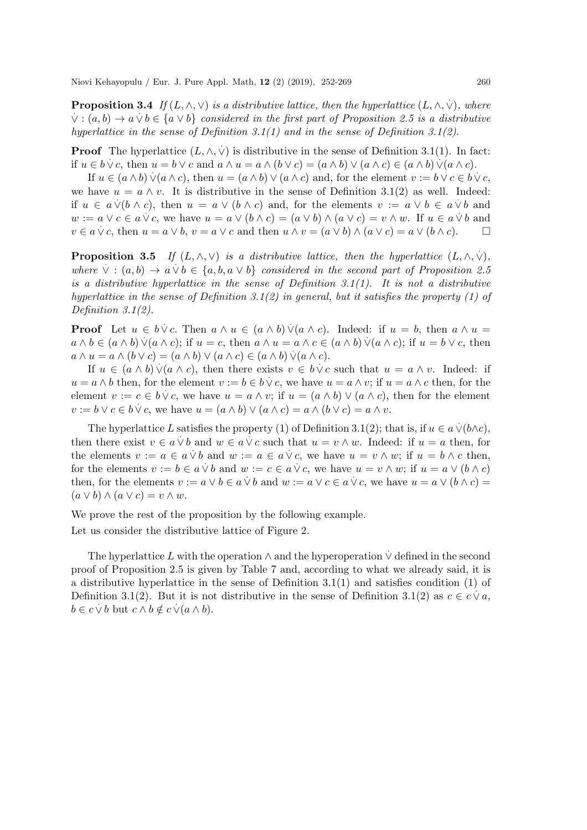**Proposition 3.4** If  $(L, \wedge, \vee)$  is a distributive lattice, then the hyperlattice  $(L, \wedge, \vee)$ , where  $\forall$  :  $(a,b) \rightarrow a \lor b \in \{a \lor b\}$  *considered in the first part of Proposition 2.5 is a distributive hyperlattice in the sense of Definition 3.1(1) and in the sense of Definition 3.1(2)*.

**Proof** The hyperlattice  $(L, \wedge, \vee)$  is distributive in the sense of Definition 3.1(1). In fact: if  $u \in b \vee c$ , then  $u = b \vee c$  and  $a \wedge u = a \wedge (b \vee c) = (a \wedge b) \vee (a \wedge c) \in (a \wedge b) \vee (a \wedge c)$ .

If  $u \in (a \wedge b) \vee (a \wedge c)$ , then  $u = (a \wedge b) \vee (a \wedge c)$  and, for the element  $v := b \vee c \in b \vee c$ , we have  $u = a \wedge v$ . It is distributive in the sense of Definition 3.1(2) as well. Indeed: if  $u \in a \lor (b \land c)$ , then  $u = a \lor (b \land c)$  and, for the elements  $v := a \lor b \in a \lor b$  and  $w := a \lor c \in a \lor c$ , we have  $u = a \lor (b \land c) = (a \lor b) \land (a \lor c) = v \land w$ . If  $u \in a \lor b$  and  $v \in a \vee c$ , then  $u = a \vee b$ ,  $v = a \vee c$  and then  $u \wedge v = (a \vee b) \wedge (a \vee c) = a \vee (b \wedge c)$ .

**Proposition 3.5** *If*  $(L, \wedge, \vee)$  *is a distributive lattice, then the hyperlattice*  $(L, \wedge, \vee)$ ,  $where \forall : (a, b) \rightarrow a \forall b \in \{a, b, a \lor b\}$  *considered in the second part of Proposition 2.5 is a distributive hyperlattice in the sense of Definition 3.1(1). It is not a distributive hyperlattice in the sense of Definition 3.1(2) in general, but it satisfies the property (1) of Definition 3.1(2).*

**Proof** Let  $u \in b \vee c$ . Then  $a \wedge u \in (a \wedge b) \vee (a \wedge c)$ . Indeed: if  $u = b$ , then  $a \wedge u =$ a  $\wedge$  b ∈ (a  $\wedge$  b)  $\vee$ (a  $\wedge$  c); if  $u = c$ , then  $a \wedge u = a \wedge c \in (a \wedge b) \vee (a \wedge c)$ ; if  $u = b \vee c$ , then  $a \wedge u = a \wedge (b \vee c) = (a \wedge b) \vee (a \wedge c) \in (a \wedge b) \vee (a \wedge c).$ 

If  $u \in (a \wedge b) \vee (a \wedge c)$ , then there exists  $v \in b \vee c$  such that  $u = a \wedge v$ . Indeed: if  $u = a \wedge b$  then, for the element  $v := b \in b \vee c$ , we have  $u = a \wedge v$ ; if  $u = a \wedge c$  then, for the element  $v := c \in b \lor c$ , we have  $u = a \land v$ ; if  $u = (a \land b) \lor (a \land c)$ , then for the element  $v := b \lor c \in b \lor c$ , we have  $u = (a \land b) \lor (a \land c) = a \land (b \lor c) = a \land v$ .

The hyperlattice L satisfies the property (1) of Definition 3.1(2); that is, if  $u \in a \vee (b \wedge c)$ , then there exist  $v \in a \lor b$  and  $w \in a \lor c$  such that  $u = v \land w$ . Indeed: if  $u = a$  then, for the elements  $v := a \in a \vee b$  and  $w := a \in a \vee c$ , we have  $u = v \wedge w$ ; if  $u = b \wedge c$  then, for the elements  $v := b \in a \lor b$  and  $w := c \in a \lor c$ , we have  $u = v \land w$ ; if  $u = a \lor (b \land c)$ then, for the elements  $v := a \lor b \in a \lor b$  and  $w := a \lor c \in a \lor c$ , we have  $u = a \lor (b \land c) =$  $(a \vee b) \wedge (a \vee c) = v \wedge w.$ 

We prove the rest of the proposition by the following example.

Let us consider the distributive lattice of Figure 2.

The hyperlattice L with the operation  $\wedge$  and the hyperoperation  $\dot{\vee}$  defined in the second proof of Proposition 2.5 is given by Table 7 and, according to what we already said, it is a distributive hyperlattice in the sense of Definition 3.1(1) and satisfies condition (1) of Definition 3.1(2). But it is not distributive in the sense of Definition 3.1(2) as  $c \in c \vee a$ ,  $b \in c \vee b$  but  $c \wedge b \notin c \vee (a \wedge b)$ .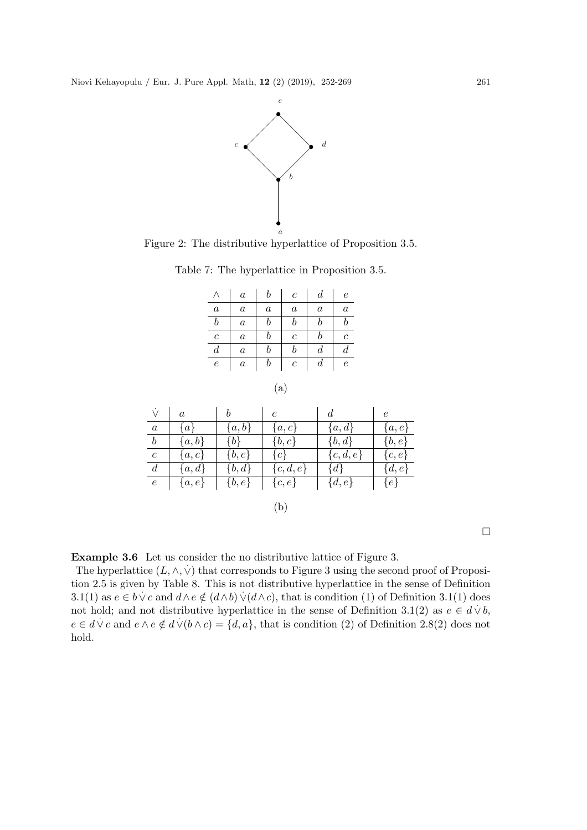

Figure 2: The distributive hyperlattice of Proposition 3.5.

Table 7: The hyperlattice in Proposition 3.5.

|              | $\boldsymbol{a}$ | b       | $\overline{c}$   | $\boldsymbol{d}$ | $\epsilon$       |
|--------------|------------------|---------|------------------|------------------|------------------|
| $\it a$      | $\boldsymbol{a}$ | $\it a$ | $\boldsymbol{a}$ | $\boldsymbol{a}$ | $\boldsymbol{a}$ |
| $\it b$      | $\boldsymbol{a}$ | b       | b                | b                | b                |
| $\mathcal C$ | $\boldsymbol{a}$ | b       | $\overline{c}$   | b                | Ċ                |
| d            | $\boldsymbol{a}$ |         | b                | d                | d                |
| $\,e\,$      | $\it a$          | b       | $\boldsymbol{c}$ | $\boldsymbol{d}$ | $\,e\,$          |
|              |                  |         |                  |                  |                  |

$$
\rm (a)
$$

| $\vee$           | $\boldsymbol{a}$ | b         | $\mathfrak c$ | d.          | $\epsilon$ |
|------------------|------------------|-----------|---------------|-------------|------------|
| $\boldsymbol{a}$ | $\{a\}$          | $\{a,b\}$ | $\{a,c\}$     | ${a,d}$     | $\{a,e\}$  |
| $\boldsymbol{b}$ | $\{a,b\}$        | ${b}$     | $\{b,c\}$     | $\{b, d\}$  | $\{b,e\}$  |
| $\boldsymbol{c}$ | $\{a,c\}$        | $\{b,c\}$ | ${c}$         | $\{c,d,e\}$ | $\{c, e\}$ |
| $\overline{d}$   | $\{a,d\}$        | $\{b,d\}$ | $\{c,d,e\}$   | $\{d\}$     | $\{d,e\}$  |
| $\epsilon$       | $\{a,e\}$        | $\{b,e\}$ | $\{c,e\}$     | $\{d,e\}$   | $\{e\}$    |
|                  |                  |           | (h)           |             |            |



 $\Box$ 

Example 3.6 Let us consider the no distributive lattice of Figure 3.

The hyperlattice  $(L, \wedge, \vee)$  that corresponds to Figure 3 using the second proof of Proposition 2.5 is given by Table 8. This is not distributive hyperlattice in the sense of Definition 3.1(1) as  $e \in b \vee c$  and  $d \wedge e \notin (d \wedge b) \vee (d \wedge c)$ , that is condition (1) of Definition 3.1(1) does not hold; and not distributive hyperlattice in the sense of Definition 3.1(2) as  $e \in d \vee b$ ,  $e \in d \vee c$  and  $e \wedge e \notin d \vee (b \wedge c) = \{d, a\}$ , that is condition (2) of Definition 2.8(2) does not hold.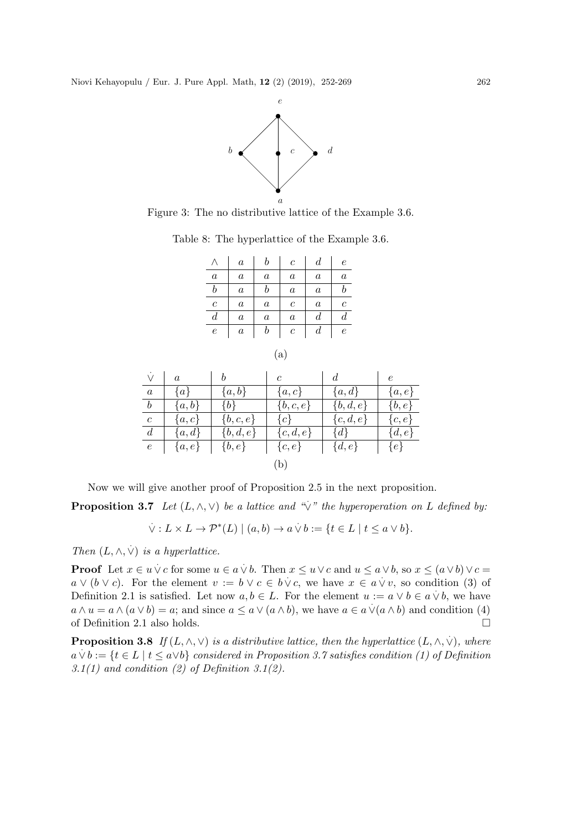

Figure 3: The no distributive lattice of the Example 3.6.

Table 8: The hyperlattice of the Example 3.6.

|                  | $\it a$          | b                | $\,c\,$          | $\boldsymbol{d}$ | $\epsilon$       |
|------------------|------------------|------------------|------------------|------------------|------------------|
| $\it a$          | $\it a$          | $\boldsymbol{a}$ | $\boldsymbol{a}$ | $\it a$          | $\boldsymbol{a}$ |
| $\boldsymbol{b}$ | $\boldsymbol{a}$ | b                | $\boldsymbol{a}$ | $\boldsymbol{a}$ | h                |
| $\overline{c}$   | $\boldsymbol{a}$ | $\boldsymbol{a}$ | $\mathcal C$     | $\boldsymbol{a}$ | $\overline{c}$   |
| $\boldsymbol{d}$ | $\it a$          | $\boldsymbol{a}$ | $\it a$          | $_{d}$           | d                |
| $\boldsymbol{e}$ | $\boldsymbol{a}$ | b                | $\boldsymbol{c}$ | $\overline{d}$   | $\epsilon$       |
|                  |                  |                  |                  |                  |                  |

|                  | $\overline{a}$ | b           | $\mathfrak{c}$ | d.          | $\epsilon$ |
|------------------|----------------|-------------|----------------|-------------|------------|
| $\alpha$         | $\{a\}$        | $\{a,b\}$   | $\{a,c\}$      | ${a,d}$     | $\{a,e\}$  |
| $\boldsymbol{b}$ | $\{a,b\}$      | $\{b\}$     | $\{b,c,e\}$    | $\{b,d,e\}$ | $\{b,e\}$  |
| $\boldsymbol{c}$ | $\{a,c\}$      | $\{b,c,e\}$ | $\{c\}$        | $\{c,d,e\}$ | $\{c,e\}$  |
| $\overline{d}$   | ${a,d}$        | $\{b,d,e\}$ | $\{c,d,e\}$    | $\{d\}$     | $\{d,e\}$  |
| $\boldsymbol{e}$ | $\{a,e\}$      | $\{b,e\}$   | $\{c,e\}$      | $\{d,e\}$   | $\{e\}$    |
|                  |                |             | (b             |             |            |

Now we will give another proof of Proposition 2.5 in the next proposition.

**Proposition 3.7** Let  $(L, \wedge, \vee)$  be a lattice and " $\vee$ " the hyperoperation on L defined by:

$$
\dot{\vee}: L \times L \to \mathcal{P}^*(L) \mid (a, b) \to a \dot{\vee} b := \{ t \in L \mid t \leq a \vee b \}.
$$

*Then*  $(L, \wedge, \vee)$  *is a hyperlattice.* 

**Proof** Let  $x \in u \lor c$  for some  $u \in a \lor b$ . Then  $x \le u \lor c$  and  $u \le a \lor b$ , so  $x \le (a \lor b) \lor c =$ a v (b ∨ c). For the element  $v := b \lor c \in b \lor c$ , we have  $x \in a \lor v$ , so condition (3) of Definition 2.1 is satisfied. Let now  $a, b \in L$ . For the element  $u := a \vee b \in a \vee b$ , we have  $a \wedge u = a \wedge (a \vee b) = a$ ; and since  $a \le a \vee (a \wedge b)$ , we have  $a \in a \vee (a \wedge b)$  and condition (4) of Definition 2.1 also holds.

**Proposition 3.8** If  $(L, \wedge, \vee)$  is a distributive lattice, then the hyperlattice  $(L, \wedge, \vee)$ , where  $a \vee b := \{t \in L \mid t \leq a \vee b\}$  *considered in Proposition 3.7 satisfies condition (1) of Definition 3.1(1) and condition (2) of Definition 3.1(2).*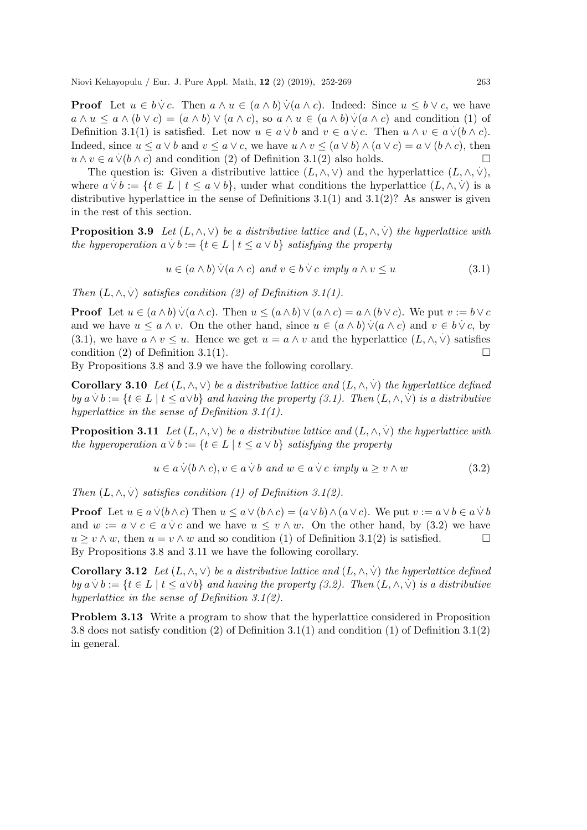**Proof** Let  $u \in b \vee c$ . Then  $a \wedge u \in (a \wedge b) \vee (a \wedge c)$ . Indeed: Since  $u \leq b \vee c$ , we have a  $\land$   $u \le a \land (b \lor c) = (a \land b) \lor (a \land c)$ , so  $a \land u \in (a \land b) \lor (a \land c)$  and condition (1) of Definition 3.1(1) is satisfied. Let now  $u \in a \lor b$  and  $v \in a \lor c$ . Then  $u \land v \in a \lor (b \land c)$ . Indeed, since  $u \le a \vee b$  and  $v \le a \vee c$ , we have  $u \wedge v \le (a \vee b) \wedge (a \vee c) = a \vee (b \wedge c)$ , then  $u \wedge v \in a \vee (b \wedge c)$  and condition (2) of Definition 3.1(2) also holds.

The question is: Given a distributive lattice  $(L, \wedge, \vee)$  and the hyperlattice  $(L, \wedge, \vee),$ where  $a \vee b := \{t \in L \mid t \leq a \vee b\}$ , under what conditions the hyperlattice  $(L, \wedge, \vee)$  is a distributive hyperlattice in the sense of Definitions  $3.1(1)$  and  $3.1(2)$ ? As answer is given in the rest of this section.

**Proposition 3.9** Let  $(L, \wedge, \vee)$  be a distributive lattice and  $(L, \wedge, \vee)$  the hyperlattice with  $\mathcal{L}$  to position  $\mathcal{L}$  is  $\{E, \lambda, \lambda, \lambda, \lambda\}$  or a distributive value of  $\mathcal{L}$ ,  $\{\lambda, \lambda, \lambda, \lambda\}$  is the property

$$
u \in (a \wedge b) \vee (a \wedge c) \text{ and } v \in b \vee c \text{ imply } a \wedge v \le u \tag{3.1}
$$

*Then*  $(L, \wedge, \vee)$  *satisfies condition (2) of Definition 3.1(1).* 

**Proof** Let  $u \in (a \wedge b) \vee (a \wedge c)$ . Then  $u \leq (a \wedge b) \vee (a \wedge c) = a \wedge (b \vee c)$ . We put  $v := b \vee c$ and we have  $u \le a \wedge v$ . On the other hand, since  $u \in (a \wedge b) \vee (a \wedge c)$  and  $v \in b \vee c$ , by (3.1), we have  $a \wedge v \leq u$ . Hence we get  $u = a \wedge v$  and the hyperlattice  $(L, \wedge, \vee)$  satisfies condition (2) of Definition 3.1(1).

By Propositions 3.8 and 3.9 we have the following corollary.

**Corollary 3.10** Let  $(L, \wedge, \vee)$  be a distributive lattice and  $(L, \wedge, \vee)$  the hyperlattice defined  $by a \vee b := \{t \in L \mid t \leq a \vee b\}$  *and having the property (3.1). Then*  $(L, \wedge, \vee)$  *is a distributive hyperlattice in the sense of Definition 3.1(1).*

**Proposition 3.11** Let  $(L, \wedge, \vee)$  be a distributive lattice and  $(L, \wedge, \vee)$  the hyperlattice with  $\mathcal{L}$  to position  $\mathcal{L}$  is  $\{E, \langle E, \cdot, \cdot \rangle\}$  or a distributive value of  $\langle E, \cdot, \cdot \rangle$ ,  $\langle E, \cdot \rangle$  for  $\mathcal{L}$  to  $\{E \mid t \leq a \vee b\}$  satisfying the property

$$
u \in a \lor (b \land c), v \in a \lor b \text{ and } w \in a \lor c \text{ imply } u \ge v \land w \tag{3.2}
$$

*Then*  $(L, \wedge, \vee)$  *satisfies condition* (1) of Definition 3.1(2).

**Proof** Let  $u \in a \vee (b \wedge c)$  Then  $u \le a \vee (b \wedge c) = (a \vee b) \wedge (a \vee c)$ . We put  $v := a \vee b \in a \vee b$ and  $w := a \lor c \in a \lor c$  and we have  $u \le v \land w$ . On the other hand, by (3.2) we have  $u > v \wedge w$ , then  $u = v \wedge w$  and so condition (1) of Definition 3.1(2) is satisfied. By Propositions 3.8 and 3.11 we have the following corollary.

**Corollary 3.12** Let  $(L, \wedge, \vee)$  be a distributive lattice and  $(L, \wedge, \vee)$  the hyperlattice defined  $by a \vee b := \{t \in L \mid t \leq a \vee b\}$  *and having the property (3.2). Then*  $(L, \wedge, \vee)$  *is a distributive hyperlattice in the sense of Definition 3.1(2).*

Problem 3.13 Write a program to show that the hyperlattice considered in Proposition 3.8 does not satisfy condition (2) of Definition 3.1(1) and condition (1) of Definition 3.1(2) in general.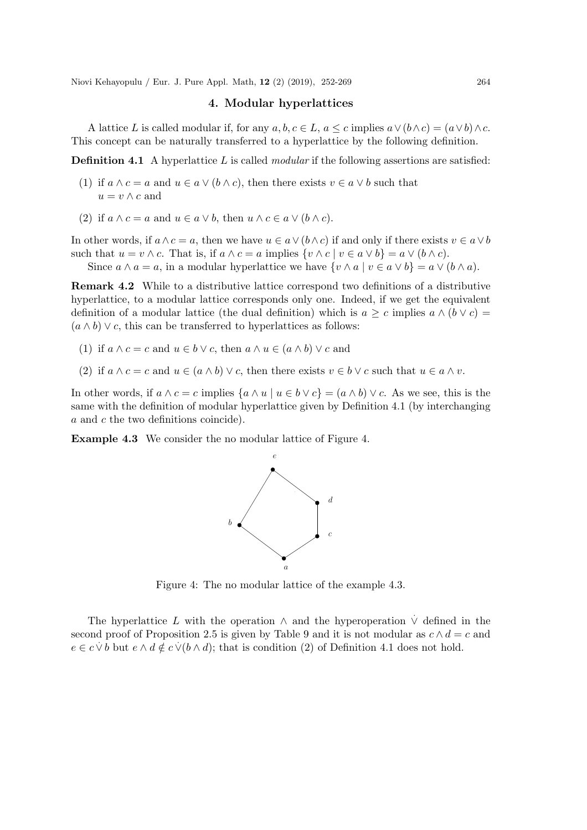### 4. Modular hyperlattices

A lattice L is called modular if, for any  $a, b, c \in L$ ,  $a \leq c$  implies  $a \vee (b \wedge c) = (a \vee b) \wedge c$ . This concept can be naturally transferred to a hyperlattice by the following definition.

Definition 4.1 A hyperlattice L is called *modular* if the following assertions are satisfied:

- (1) if  $a \wedge c = a$  and  $u \in a \vee (b \wedge c)$ , then there exists  $v \in a \vee b$  such that  $u = v \wedge c$  and
- (2) if  $a \wedge c = a$  and  $u \in a \vee b$ , then  $u \wedge c \in a \vee (b \wedge c)$ .

In other words, if  $a \wedge c = a$ , then we have  $u \in a \vee (b \wedge c)$  if and only if there exists  $v \in a \vee b$ such that  $u = v \wedge c$ . That is, if  $a \wedge c = a$  implies  $\{v \wedge c \mid v \in a \vee b\} = a \vee (b \wedge c)$ .

Since  $a \wedge a = a$ , in a modular hyperlattice we have  $\{v \wedge a \mid v \in a \vee b\} = a \vee (b \wedge a)$ .

Remark 4.2 While to a distributive lattice correspond two definitions of a distributive hyperlattice, to a modular lattice corresponds only one. Indeed, if we get the equivalent definition of a modular lattice (the dual definition) which is  $a \geq c$  implies  $a \wedge (b \vee c)$  $(a \wedge b) \vee c$ , this can be transferred to hyperlattices as follows:

- (1) if  $a \wedge c = c$  and  $u \in b \vee c$ , then  $a \wedge u \in (a \wedge b) \vee c$  and
- (2) if  $a \wedge c = c$  and  $u \in (a \wedge b) \vee c$ , then there exists  $v \in b \vee c$  such that  $u \in a \wedge v$ .

In other words, if  $a \wedge c = c$  implies  $\{a \wedge u \mid u \in b \vee c\} = (a \wedge b) \vee c$ . As we see, this is the same with the definition of modular hyperlattice given by Definition 4.1 (by interchanging a and c the two definitions coincide).

Example 4.3 We consider the no modular lattice of Figure 4.



Figure 4: The no modular lattice of the example 4.3.

The hyperlattice L with the operation  $\wedge$  and the hyperoperation  $\vee$  defined in the second proof of Proposition 2.5 is given by Table 9 and it is not modular as  $c \wedge d = c$  and  $e \in c \lor b$  but  $e \land d \notin c \lor (b \land d)$ ; that is condition (2) of Definition 4.1 does not hold.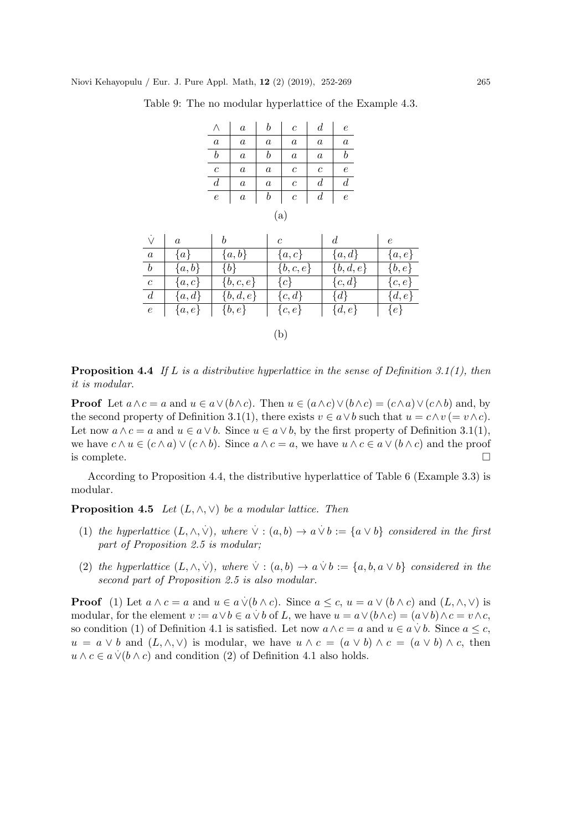|                  | $\it a$          | b                | $\boldsymbol{c}$ | $\boldsymbol{d}$ | $\epsilon$       |  |
|------------------|------------------|------------------|------------------|------------------|------------------|--|
| $\it a$          | $\boldsymbol{a}$ | $\boldsymbol{a}$ | $\boldsymbol{a}$ | $\boldsymbol{a}$ | $\boldsymbol{a}$ |  |
| $\it b$          | $\boldsymbol{a}$ | $\boldsymbol{b}$ | $\boldsymbol{a}$ | $\boldsymbol{a}$ | $\it{b}$         |  |
| $\boldsymbol{c}$ | $\it a$          | $\boldsymbol{a}$ | $\boldsymbol{c}$ | $\boldsymbol{c}$ | $\epsilon$       |  |
| $\boldsymbol{d}$ | $\boldsymbol{a}$ | $\boldsymbol{a}$ | $\mathcal C$     | $\boldsymbol{d}$ | $\boldsymbol{d}$ |  |
| $\epsilon$       | $\it a$          | $\boldsymbol{b}$ | $\boldsymbol{c}$ | $\overline{d}$   | $\epsilon$       |  |
| (a)              |                  |                  |                  |                  |                  |  |

Table 9: The no modular hyperlattice of the Example 4.3.

| $\vee$           | $\boldsymbol{a}$ | b           | $\mathfrak c$ | d           | $\epsilon$ |
|------------------|------------------|-------------|---------------|-------------|------------|
| $\boldsymbol{a}$ | $\{a\}$          | $\{a,b\}$   | $\{a,c\}$     | $\{a,d\}$   | $\{a,e\}$  |
| $\boldsymbol{b}$ | $\{a,b\}$        | ${b}$       | $\{b,c,e\}$   | $\{b,d,e\}$ | $\{b,e\}$  |
| $\boldsymbol{c}$ | $\{a,c\}$        | $\{b,c,e\}$ | $\{c\}$       | ${c,d}$     | $\{c, e\}$ |
| $\overline{d}$   | ${a,d}$          | $\{b,d,e\}$ | $\{c,d\}$     | $\{d\}$     | $\{d,e\}$  |
| $\boldsymbol{e}$ | $\{a,e\}$        | $\{b,e\}$   | $\{c,e\}$     | $\{d,e\}$   | $\{e\}$    |
|                  |                  |             |               |             |            |
|                  |                  |             | (b            |             |            |

Proposition 4.4 *If* L *is a distributive hyperlattice in the sense of Definition 3.1(1), then it is modular*.

**Proof** Let  $a \wedge c = a$  and  $u \in a \vee (b \wedge c)$ . Then  $u \in (a \wedge c) \vee (b \wedge c) = (c \wedge a) \vee (c \wedge b)$  and, by the second property of Definition 3.1(1), there exists  $v \in a \vee b$  such that  $u = c \wedge v = v \wedge c$ . Let now  $a \wedge c = a$  and  $u \in a \vee b$ . Since  $u \in a \vee b$ , by the first property of Definition 3.1(1), we have  $c \wedge u \in (c \wedge a) \vee (c \wedge b)$ . Since  $a \wedge c = a$ , we have  $u \wedge c \in a \vee (b \wedge c)$  and the proof is complete.  $\Box$ 

According to Proposition 4.4, the distributive hyperlattice of Table 6 (Example 3.3) is modular.

**Proposition 4.5** *Let*  $(L, \wedge, \vee)$  *be a modular lattice. Then* 

- (1) the hyperlattice  $(L, \wedge, \vee)$ , where  $\vee : (a, b) \rightarrow a \vee b := \{a \vee b\}$  considered in the first *part of Proposition 2.5 is modular;*
- (2) the hyperlattice  $(L, \wedge, \vee)$ , where  $\vee : (a, b) \rightarrow a \vee b := \{a, b, a \vee b\}$  considered in the *second part of Proposition 2.5 is also modular.*

**Proof** (1) Let  $a \wedge c = a$  and  $u \in a \vee (b \wedge c)$ . Since  $a \leq c$ ,  $u = a \vee (b \wedge c)$  and  $(L, \wedge, \vee)$  is modular, for the element  $v := a \lor b \in a \lor b$  of L, we have  $u = a \lor (b \land c) = (a \lor b) \land c = v \land c$ , so condition (1) of Definition 4.1 is satisfied. Let now  $a \wedge c = a$  and  $u \in a \vee b$ . Since  $a \leq c$ ,  $u = a \vee b$  and  $(L, \wedge, \vee)$  is modular, we have  $u \wedge c = (a \vee b) \wedge c = (a \vee b) \wedge c$ , then  $u \wedge c \in a \vee (b \wedge c)$  and condition (2) of Definition 4.1 also holds.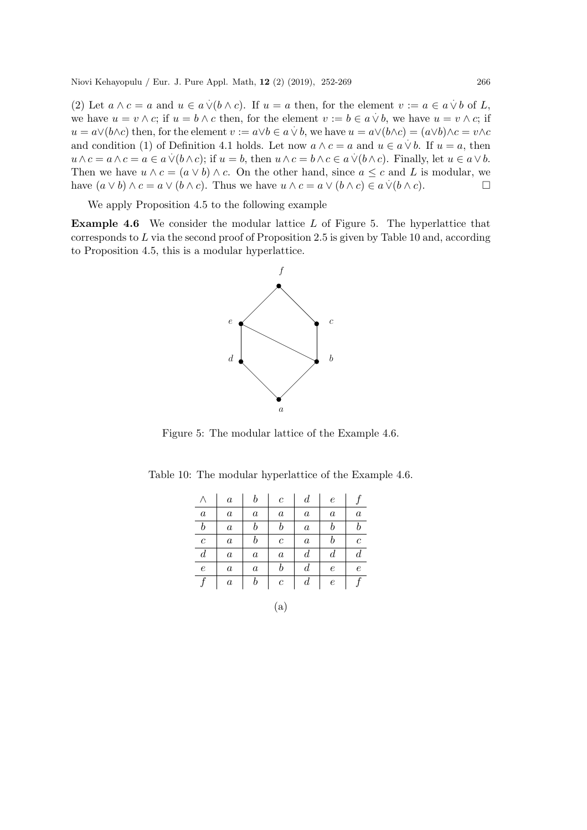(2) Let  $a \wedge c = a$  and  $u \in a \vee (b \wedge c)$ . If  $u = a$  then, for the element  $v := a \in a \vee b$  of L, we have  $u = v \wedge c$ ; if  $u = b \wedge c$  then, for the element  $v := b \in a \vee b$ , we have  $u = v \wedge c$ ; if we have  $\alpha = b \wedge c$ , if  $\alpha = b \wedge c$  then, for the element  $v := a \vee b \in a \vee b$ , we have  $u = a \vee (b \wedge c) = (a \vee b) \wedge c = v \wedge c$ and condition (1) of Definition 4.1 holds. Let now  $a \wedge c = a$  and  $u \in a \vee b$ . If  $u = a$ , then  $u \wedge c = a \wedge c = a \in a \vee (b \wedge c)$ ; if  $u = b$ , then  $u \wedge c = b \wedge c \in a \vee (b \wedge c)$ . Finally, let  $u \in a \vee b$ . Then we have  $u \wedge c = (a \vee b) \wedge c$ . On the other hand, since  $a \leq c$  and L is modular, we have  $(a \lor b) \land c = a \lor (b \land c)$ . Thus we have  $u \land c = a \lor (b \land c) \in a \lor (b \land c)$ .

We apply Proposition 4.5 to the following example

Example 4.6 We consider the modular lattice L of Figure 5. The hyperlattice that corresponds to  $L$  via the second proof of Proposition 2.5 is given by Table 10 and, according to Proposition 4.5, this is a modular hyperlattice.



Figure 5: The modular lattice of the Example 4.6.

|                  | $\boldsymbol{a}$ | b                | $\mathfrak{c}$   | $\boldsymbol{d}$ | $\epsilon$       |                  |
|------------------|------------------|------------------|------------------|------------------|------------------|------------------|
| $\boldsymbol{a}$ | $\it a$          | $\it a$          | $\boldsymbol{a}$ | $\it a$          | $\boldsymbol{a}$ | $\it a$          |
| $\boldsymbol{b}$ | $\it a$          | b                | $_{b}$           | $\it a$          | b                | b                |
| $\boldsymbol{c}$ | $\it a$          | b                | $\boldsymbol{c}$ | $\it a$          | b                | $\,c\,$          |
| $\boldsymbol{d}$ | $\it a$          | $\it a$          | $\boldsymbol{a}$ | $\boldsymbol{d}$ | $\boldsymbol{d}$ | $\boldsymbol{d}$ |
| $\epsilon$       | $\boldsymbol{a}$ | $\boldsymbol{a}$ | b                | $\boldsymbol{d}$ | $\epsilon$       | $\epsilon$       |
|                  | $\boldsymbol{a}$ | $\it{b}$         | $\boldsymbol{c}$ | $\boldsymbol{d}$ | $\epsilon$       |                  |

(a)

Table 10: The modular hyperlattice of the Example 4.6.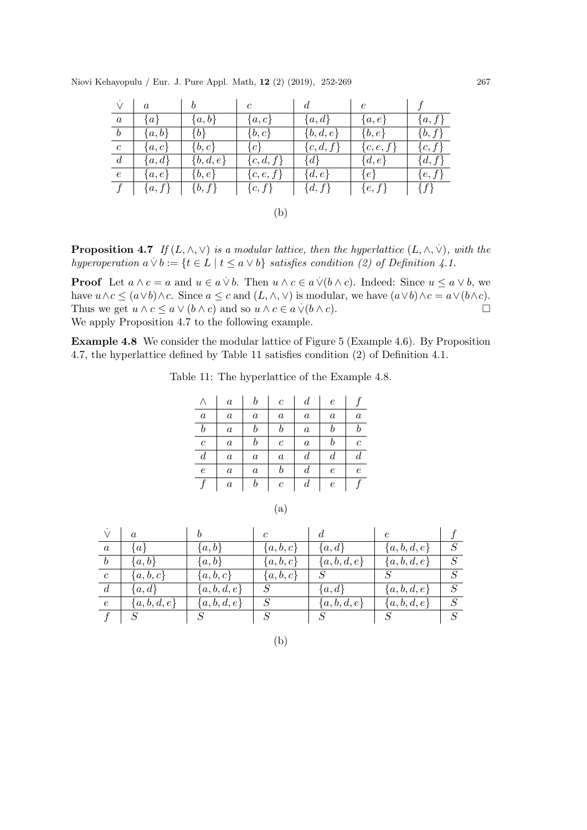| $\vee$           | $\alpha$  | b           | $\mathfrak c$ | d           | $\epsilon$  |            |  |  |
|------------------|-----------|-------------|---------------|-------------|-------------|------------|--|--|
| $\boldsymbol{a}$ | $\{a\}$   | $\{a,b\}$   | $\{a,c\}$     | $\{a,d\}$   | $\{a,e\}$   | $\{a,f\}$  |  |  |
| $\boldsymbol{b}$ | ${a,b}$   | $\{b\}$     | $\{b,c\}$     | $\{b,d,e\}$ | $\{b,e\}$   | $\{b,f\}$  |  |  |
| $\boldsymbol{c}$ | $\{a,c\}$ | $\{b,c\}$   | $\{c\}$       | $\{c,d,f\}$ | $\{c,e,f\}$ | $\{c,f\}$  |  |  |
| $\overline{d}$   | ${a,d}$   | $\{b,d,e\}$ | $\{c,d,f\}$   | $\{d\}$     | $\{d,e\}$   | $\{d, f\}$ |  |  |
| $\boldsymbol{e}$ | $\{a,e\}$ | $\{b,e\}$   | $\{c,e,f\}$   | $\{d,e\}$   | $\{e\}$     | $\{e,f\}$  |  |  |
|                  | ${a, f}$  | $\{b, f\}$  | $\{c,f\}$     | $\{d, f\}$  | $\{e,f\}$   | $\{f\}$    |  |  |
|                  |           |             |               |             |             |            |  |  |
|                  | (b        |             |               |             |             |            |  |  |

**Proposition 4.7** If  $(L, \wedge, \vee)$  is a modular lattice, then the hyperlattice  $(L, \wedge, \vee)$ , with the *hyperoperation*  $a \vee b := \{t \in L \mid t \leq a \vee b\}$  *satisfies condition (2) of Definition 4.1.* 

**Proof** Let  $a \wedge c = a$  and  $u \in a \vee b$ . Then  $u \wedge c \in a \vee (b \wedge c)$ . Indeed: Since  $u \le a \vee b$ , we have  $u \wedge c \leq (a \vee b) \wedge c$ . Since  $a \leq c$  and  $(L, \wedge, \vee)$  is modular, we have  $(a \vee b) \wedge c = a \vee (b \wedge c)$ . Thus we get  $u \wedge c \le a \vee (b \wedge c)$  and so  $u \wedge c \in a \vee (b \wedge c)$ . We apply Proposition 4.7 to the following example.

Example 4.8 We consider the modular lattice of Figure 5 (Example 4.6). By Proposition 4.7, the hyperlattice defined by Table 11 satisfies condition (2) of Definition 4.1.

Table 11: The hyperlattice of the Example 4.8.

|                  | $\boldsymbol{a}$ | b                | $\boldsymbol{c}$ | $\boldsymbol{d}$ | $\epsilon$       |                  |
|------------------|------------------|------------------|------------------|------------------|------------------|------------------|
| $\it a$          | $\boldsymbol{a}$ | $\boldsymbol{a}$ | $\it a$          | $\boldsymbol{a}$ | $\it a$          | $\boldsymbol{a}$ |
| $\it{b}$         | $\boldsymbol{a}$ | b                | $\it b$          | $\boldsymbol{a}$ | $\it{b}$         |                  |
| $\boldsymbol{c}$ | $\boldsymbol{a}$ | b                | $\overline{c}$   | $\boldsymbol{a}$ | b                | $\mathfrak c$    |
| $\boldsymbol{d}$ | $\boldsymbol{a}$ | $\boldsymbol{a}$ | $\it a$          | $\boldsymbol{d}$ | $\boldsymbol{d}$ | $\it d$          |
| $\epsilon$       | $\boldsymbol{a}$ | $\boldsymbol{a}$ | b                | $\boldsymbol{d}$ | $\epsilon$       | $\epsilon$       |
|                  | $\it a$          | $\it b$          | $\boldsymbol{c}$ | $\boldsymbol{d}$ | е                |                  |

| ×<br>i |
|--------|
|        |

|                  | $\alpha$      |               | $\epsilon$    |             | $\epsilon$    |   |
|------------------|---------------|---------------|---------------|-------------|---------------|---|
| $\boldsymbol{a}$ | {a∤           | $\{a,b\}$     | $\{a, b, c\}$ | ${a,d}$     | ${a,b,d,e}$   |   |
| $\boldsymbol{b}$ | $\{a,b\}$     | $\{a,b\}$     | $\{a,b,c\}$   | ${a,b,d,e}$ | $\{a,b,d,e\}$ | S |
| $\mathcal{C}$    | $\{a,b,c\}$   | $\{a,b,c\}$   | $\{a,b,c\}$   |             |               |   |
| $\overline{d}$   | $\{a,d\}$     | $\{a,b,d,e\}$ |               | $\{a,d\}$   | $\{a,b,d,e\}$ |   |
| $\epsilon$       | $\{a,b,d,e\}$ | ${a,b,d,e}$   | S             | ${a,b,d,e}$ | ${a,b,d,e}$   | S |
|                  |               |               |               |             |               |   |

| ×                     |  |
|-----------------------|--|
| ٧                     |  |
| I<br>I<br>٠<br>$\sim$ |  |
|                       |  |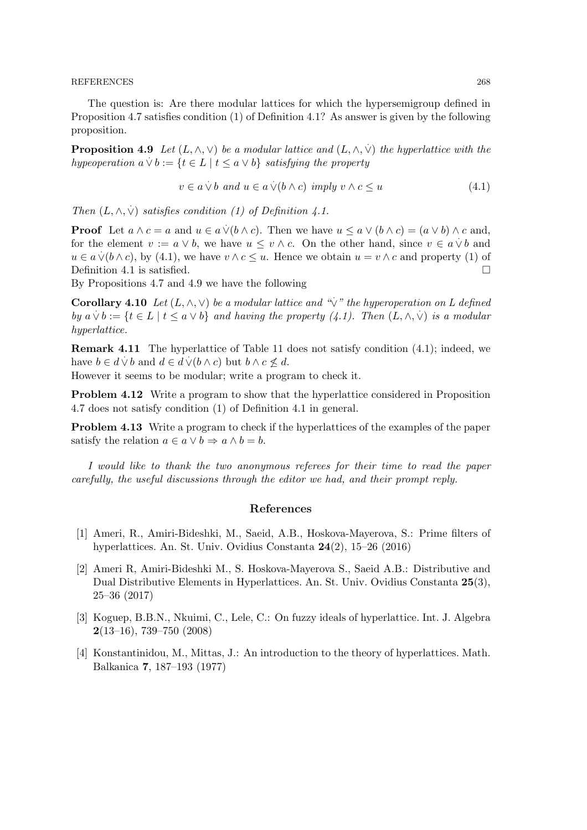#### REFERENCES 268

The question is: Are there modular lattices for which the hypersemigroup defined in Proposition 4.7 satisfies condition (1) of Definition 4.1? As answer is given by the following proposition.

**Proposition 4.9** Let  $(L, \wedge, \vee)$  be a modular lattice and  $(L, \wedge, \vee)$  the hyperlattice with the *hypeoperation*  $a \vee b := \{t \in L \mid t \leq a \vee b\}$  *satisfying the property* 

$$
v \in a \dot{\lor} b \text{ and } u \in a \dot{\lor} (b \land c) \text{ imply } v \land c \le u \tag{4.1}
$$

*Then*  $(L, \wedge, \vee)$  *satisfies condition* (1) of Definition 4.1.

**Proof** Let  $a \wedge c = a$  and  $u \in a \vee (b \wedge c)$ . Then we have  $u \le a \vee (b \wedge c) = (a \vee b) \wedge c$  and, for the element  $v := a \vee b$ , we have  $u \le v \wedge c$ . On the other hand, since  $v \in a \vee b$  and  $u \in a \vee (b \wedge c)$ , by (4.1), we have  $v \wedge c \leq u$ . Hence we obtain  $u = v \wedge c$  and property (1) of Definition 4.1 is satisfied.  $\square$ 

By Propositions 4.7 and 4.9 we have the following

**Corollary 4.10** *Let*  $(L, \wedge, \vee)$  *be a modular lattice and "* $\vee$ " *the hyperoperation on L defined by*  $a \vee b := \{t \in L \mid t \leq a \vee b\}$  *and having the property (4.1). Then*  $(L, \wedge, \vee)$  *is a modular hyperlattice.*

Remark 4.11 The hyperlattice of Table 11 does not satisfy condition (4.1); indeed, we have  $b \in d \vee b$  and  $d \in d \vee (b \wedge c)$  but  $b \wedge c \nleq d$ .

However it seems to be modular; write a program to check it.

Problem 4.12 Write a program to show that the hyperlattice considered in Proposition 4.7 does not satisfy condition (1) of Definition 4.1 in general.

Problem 4.13 Write a program to check if the hyperlattices of the examples of the paper satisfy the relation  $a \in a \lor b \Rightarrow a \land b = b$ .

*I would like to thank the two anonymous referees for their time to read the paper carefully, the useful discussions through the editor we had, and their prompt reply.*

### References

- [1] Ameri, R., Amiri-Bideshki, M., Saeid, A.B., Hoskova-Mayerova, S.: Prime filters of hyperlattices. An. St. Univ. Ovidius Constanta 24(2), 15–26 (2016)
- [2] Ameri R, Amiri-Bideshki M., S. Hoskova-Mayerova S., Saeid A.B.: Distributive and Dual Distributive Elements in Hyperlattices. An. St. Univ. Ovidius Constanta 25(3), 25–36 (2017)
- [3] Koguep, B.B.N., Nkuimi, C., Lele, C.: On fuzzy ideals of hyperlattice. Int. J. Algebra  $2(13–16)$ , 739–750  $(2008)$
- [4] Konstantinidou, M., Mittas, J.: An introduction to the theory of hyperlattices. Math. Balkanica 7, 187–193 (1977)